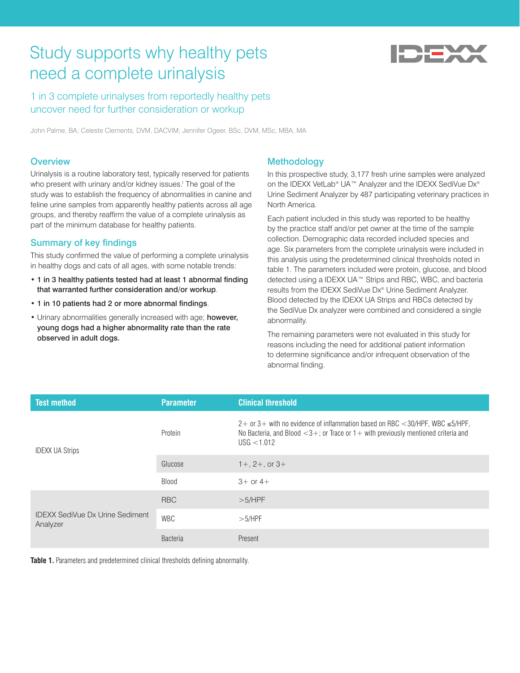# Study supports why healthy pets need a complete urinalysis



1 in 3 complete urinalyses from reportedly healthy pets uncover need for further consideration or workup

John Palme, BA; Celeste Clements, DVM, DACVIM; Jennifer Ogeer, BSc, DVM, MSc, MBA, MA

## **Overview**

Urinalysis is a routine laboratory test, typically reserved for patients who present with urinary and/or kidney issues.<sup>1</sup> The goal of the study was to establish the frequency of abnormalities in canine and feline urine samples from apparently healthy patients across all age groups, and thereby reaffirm the value of a complete urinalysis as part of the minimum database for healthy patients.

# Summary of key findings

This study confirmed the value of performing a complete urinalysis in healthy dogs and cats of all ages, with some notable trends:

- 1 in 3 healthy patients tested had at least 1 abnormal finding that warranted further consideration and/or workup.
- 1 in 10 patients had 2 or more abnormal findings.
- Urinary abnormalities generally increased with age; however, young dogs had a higher abnormality rate than the rate observed in adult dogs.

## **Methodology**

In this prospective study, 3,177 fresh urine samples were analyzed on the IDEXX VetLab® UA™ Analyzer and the IDEXX SediVue Dx® Urine Sediment Analyzer by 487 participating veterinary practices in North America.

Each patient included in this study was reported to be healthy by the practice staff and/or pet owner at the time of the sample collection. Demographic data recorded included species and age. Six parameters from the complete urinalysis were included in this analysis using the predetermined clinical thresholds noted in table 1. The parameters included were protein, glucose, and blood detected using a IDEXX UA™ Strips and RBC, WBC, and bacteria results from the IDEXX SediVue Dx® Urine Sediment Analyzer. Blood detected by the IDEXX UA Strips and RBCs detected by the SediVue Dx analyzer were combined and considered a single abnormality.

The remaining parameters were not evaluated in this study for reasons including the need for additional patient information to determine significance and/or infrequent observation of the abnormal finding.

| <b>Test method</b>                                 | <b>Parameter</b> | <b>Clinical threshold</b>                                                                                                                                                                  |
|----------------------------------------------------|------------------|--------------------------------------------------------------------------------------------------------------------------------------------------------------------------------------------|
| <b>IDEXX UA Strips</b>                             | Protein          | $2+$ or 3+ with no evidence of inflammation based on RBC <30/HPF, WBC $\leq$ 5/HPF,<br>No Bacteria, and Blood $<$ 3+; or Trace or 1+ with previously mentioned criteria and<br>USG < 1.012 |
|                                                    | Glucose          | $1 + 2 + 0$ or $3 + 1$                                                                                                                                                                     |
|                                                    | Blood            | $3+$ or $4+$                                                                                                                                                                               |
| <b>IDEXX SediVue Dx Urine Sediment</b><br>Analyzer | <b>RBC</b>       | >5/HPF                                                                                                                                                                                     |
|                                                    | <b>WBC</b>       | >5/HPF                                                                                                                                                                                     |
|                                                    | <b>Bacteria</b>  | Present                                                                                                                                                                                    |

**Table 1.** Parameters and predetermined clinical thresholds defining abnormality.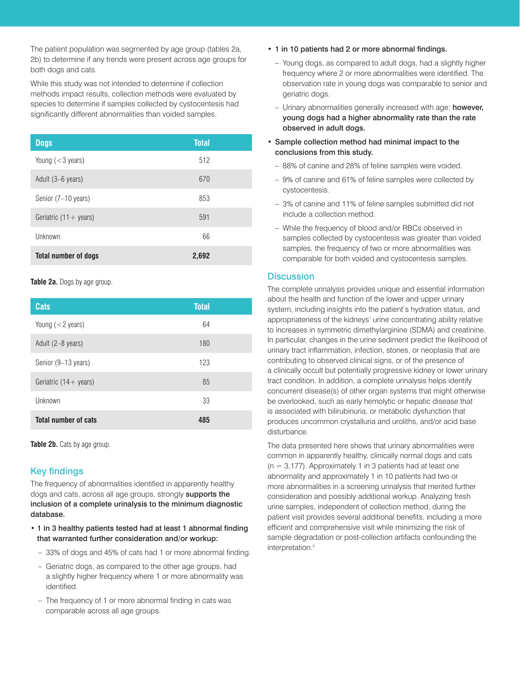The patient population was segmented by age group (tables 2a, 2b) to determine if any trends were present across age groups for both dogs and cats.

While this study was not intended to determine if collection methods impact results, collection methods were evaluated by species to determine if samples collected by cystocentesis had significantly different abnormalities than voided samples.

| <b>Dogs</b>                     | <b>Total</b> |
|---------------------------------|--------------|
| Young $(<$ 3 years)             | 512          |
| Adult (3–6 years)               | 670          |
| Senior (7-10 years)             | 853          |
| Geriatric $(11 + \text{years})$ | 591          |
| Unknown                         | 66           |
| <b>Total number of dogs</b>     | 2,692        |

**Table 2a.** Dogs by age group.

| <b>Cats</b>                     | <b>Total</b> |  |
|---------------------------------|--------------|--|
| Young $(<$ 2 years)             | 64           |  |
| Adult (2-8 years)               | 180          |  |
| Senior (9–13 years)             | 123          |  |
| Geriatric $(14 + \text{years})$ | 85           |  |
| Unknown                         | 33           |  |
| <b>Total number of cats</b>     | 485          |  |

Table 2b. Cats by age group.

# Key findings

The frequency of abnormalities identified in apparently healthy dogs and cats, across all age groups, strongly supports the inclusion of a complete urinalysis to the minimum diagnostic database.

- 1 in 3 healthy patients tested had at least 1 abnormal finding that warranted further consideration and/or workup:
	- 33% of dogs and 45% of cats had 1 or more abnormal finding.
	- Geriatric dogs, as compared to the other age groups, had a slightly higher frequency where 1 or more abnormality was identified.
	- The frequency of 1 or more abnormal finding in cats was comparable across all age groups.
- 1 in 10 patients had 2 or more abnormal findings.
	- Young dogs, as compared to adult dogs, had a slightly higher frequency where 2 or more abnormalities were identified. The observation rate in young dogs was comparable to senior and geriatric dogs.
	- Urinary abnormalities generally increased with age; however, young dogs had a higher abnormality rate than the rate observed in adult dogs.
- Sample collection method had minimal impact to the conclusions from this study.
	- 88% of canine and 28% of feline samples were voided.
	- 9% of canine and 61% of feline samples were collected by cystocentesis.
	- 3% of canine and 11% of feline samples submitted did not include a collection method.
	- While the frequency of blood and/or RBCs observed in samples collected by cystocentesis was greater than voided samples, the frequency of two or more abnormalities was comparable for both voided and cystocentesis samples.

### **Discussion**

The complete urinalysis provides unique and essential information about the health and function of the lower and upper urinary system, including insights into the patient's hydration status, and appropriateness of the kidneys' urine concentrating ability relative to increases in symmetric dimethylarginine (SDMA) and creatinine. In particular, changes in the urine sediment predict the likelihood of urinary tract inflammation, infection, stones, or neoplasia that are contributing to observed clinical signs, or of the presence of a clinically occult but potentially progressive kidney or lower urinary tract condition. In addition, a complete urinalysis helps identify concurrent disease(s) of other organ systems that might otherwise be overlooked, such as early hemolytic or hepatic disease that is associated with bilirubinuria, or metabolic dysfunction that produces uncommon crystalluria and uroliths, and/or acid base disturbance.

The data presented here shows that urinary abnormalities were common in apparently healthy, clinically normal dogs and cats  $(n = 3.177)$ . Approximately 1 in 3 patients had at least one abnormality and approximately 1 in 10 patients had two or more abnormalities in a screening urinalysis that merited further consideration and possibly additional workup. Analyzing fresh urine samples, independent of collection method, during the patient visit provides several additional benefits, including a more efficient and comprehensive visit while minimizing the risk of sample degradation or post-collection artifacts confounding the interpretation.<sup>2</sup>